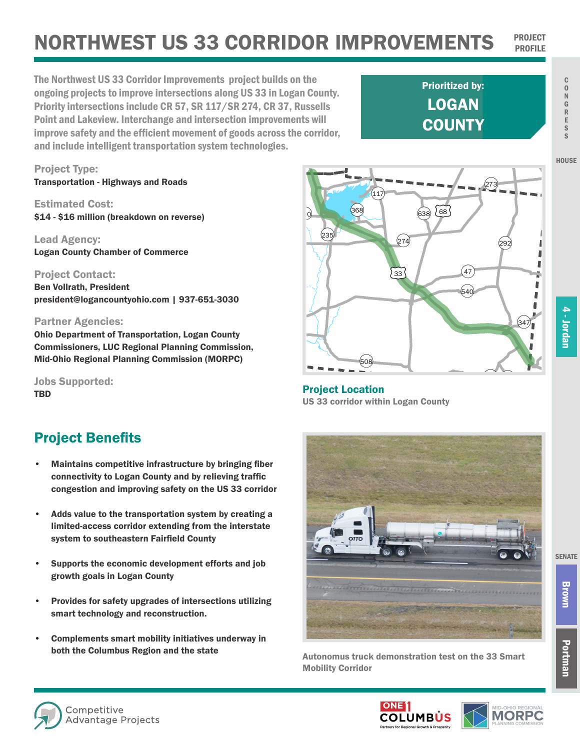## **NORTHWEST US 33 CORRIDOR IMPROVEMENTS**

The Northwest US 33 Corridor Improvements project builds on the ongoing projects to improve intersections along US 33 in Logan County. Priority intersections include CR 57, SR 117/SR 274, CR 37, Russells Point and Lakeview. Interchange and intersection improvements will improve safety and the efficient movement of goods across the corridor, and include intelligent transportation system technologies.

LOGAN **COUNTY** Prioritized by:

C O N G R E S S

**HOUSE** 

## 4 - Jordan 4 - Jordan

¬«347

т

л ï ũ J л Ĩ

 $\overline{r}$ 

 $\rightarrow$ 

¬«292

673)

 $(540)$ 

 $^{'}$ 47

Ohio Department of Transportation, Logan County

Commissioners, LUC Regional Planning Commission, Mid-Ohio Regional Planning Commission (MORPC)

president@logancountyohio.com | 937-651-3030

Jobs Supported: **TBD** 

Project Type:

Estimated Cost:

Lead Agency:

Project Contact: Ben Vollrath, President

Partner Agencies:

Transportation - Highways and Roads

Logan County Chamber of Commerce

\$14 - \$16 million (breakdown on reverse)

## Project Benefits

- Maintains competitive infrastructure by bringing fiber connectivity to Logan County and by relieving traffic congestion and improving safety on the US 33 corridor
- Adds value to the transportation system by creating a limited-access corridor extending from the interstate system to southeastern Fairfield County
- Supports the economic development efforts and job growth goals in Logan County
- Provides for safety upgrades of intersections utilizing smart technology and reconstruction.
- Complements smart mobility initiatives underway in both the Columbus Region and the state<br>Autonomus truck demonstration test on the 33 Smart

→ 2→<br>**Project Location** US 33 corridor within Logan County

¬«508

£¤33

 $(274)$ 

88 638 688

¬«368

 $(235)$ 

 $(117$ 



Mobility Corridor



Brown